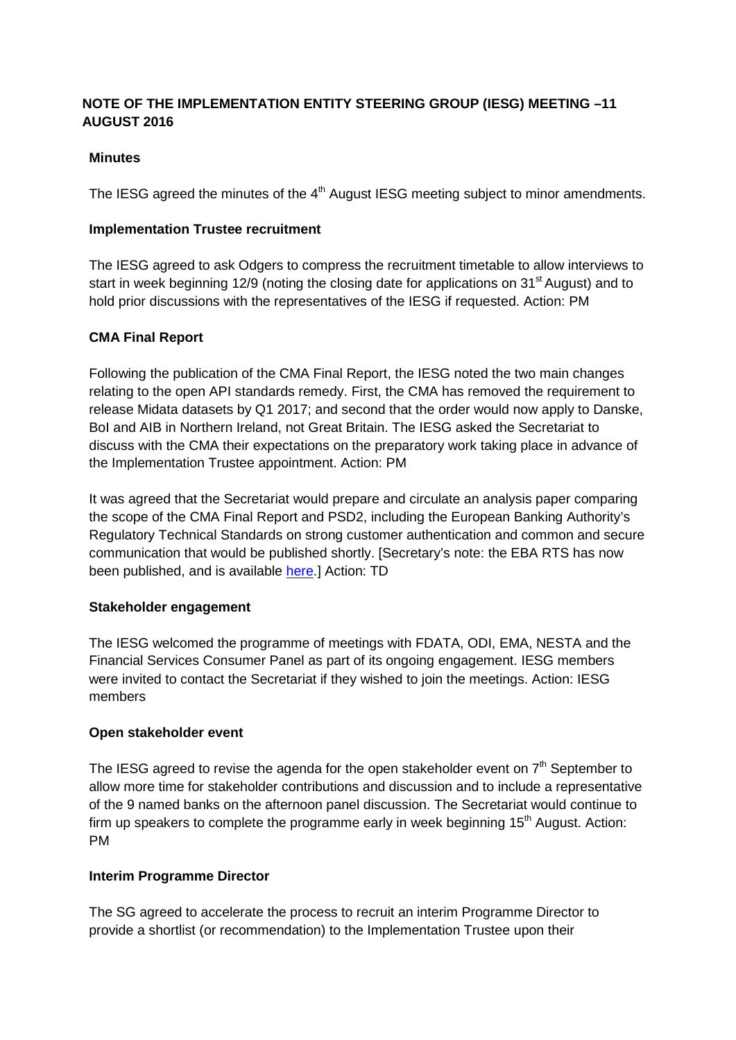# **NOTE OF THE IMPLEMENTATION ENTITY STEERING GROUP (IESG) MEETING –11 AUGUST 2016**

## **Minutes**

The IESG agreed the minutes of the 4<sup>th</sup> August IESG meeting subject to minor amendments.

### **Implementation Trustee recruitment**

The IESG agreed to ask Odgers to compress the recruitment timetable to allow interviews to start in week beginning 12/9 (noting the closing date for applications on 31<sup>st</sup> August) and to hold prior discussions with the representatives of the IESG if requested. Action: PM

## **CMA Final Report**

Following the publication of the CMA Final Report, the IESG noted the two main changes relating to the open API standards remedy. First, the CMA has removed the requirement to release Midata datasets by Q1 2017; and second that the order would now apply to Danske, BoI and AIB in Northern Ireland, not Great Britain. The IESG asked the Secretariat to discuss with the CMA their expectations on the preparatory work taking place in advance of the Implementation Trustee appointment. Action: PM

It was agreed that the Secretariat would prepare and circulate an analysis paper comparing the scope of the CMA Final Report and PSD2, including the European Banking Authority's Regulatory Technical Standards on strong customer authentication and common and secure communication that would be published shortly. [Secretary's note: the EBA RTS has now been published, and is available [here.](http://www.eba.europa.eu/news-press/calendar?p_p_id=8&_8_struts_action=%2Fcalendar%2Fview_event&_8_eventId=1548180)] Action: TD

#### **Stakeholder engagement**

The IESG welcomed the programme of meetings with FDATA, ODI, EMA, NESTA and the Financial Services Consumer Panel as part of its ongoing engagement. IESG members were invited to contact the Secretariat if they wished to join the meetings. Action: IESG members

#### **Open stakeholder event**

The IESG agreed to revise the agenda for the open stakeholder event on  $7<sup>th</sup>$  September to allow more time for stakeholder contributions and discussion and to include a representative of the 9 named banks on the afternoon panel discussion. The Secretariat would continue to firm up speakers to complete the programme early in week beginning  $15<sup>th</sup>$  August. Action: PM

#### **Interim Programme Director**

The SG agreed to accelerate the process to recruit an interim Programme Director to provide a shortlist (or recommendation) to the Implementation Trustee upon their